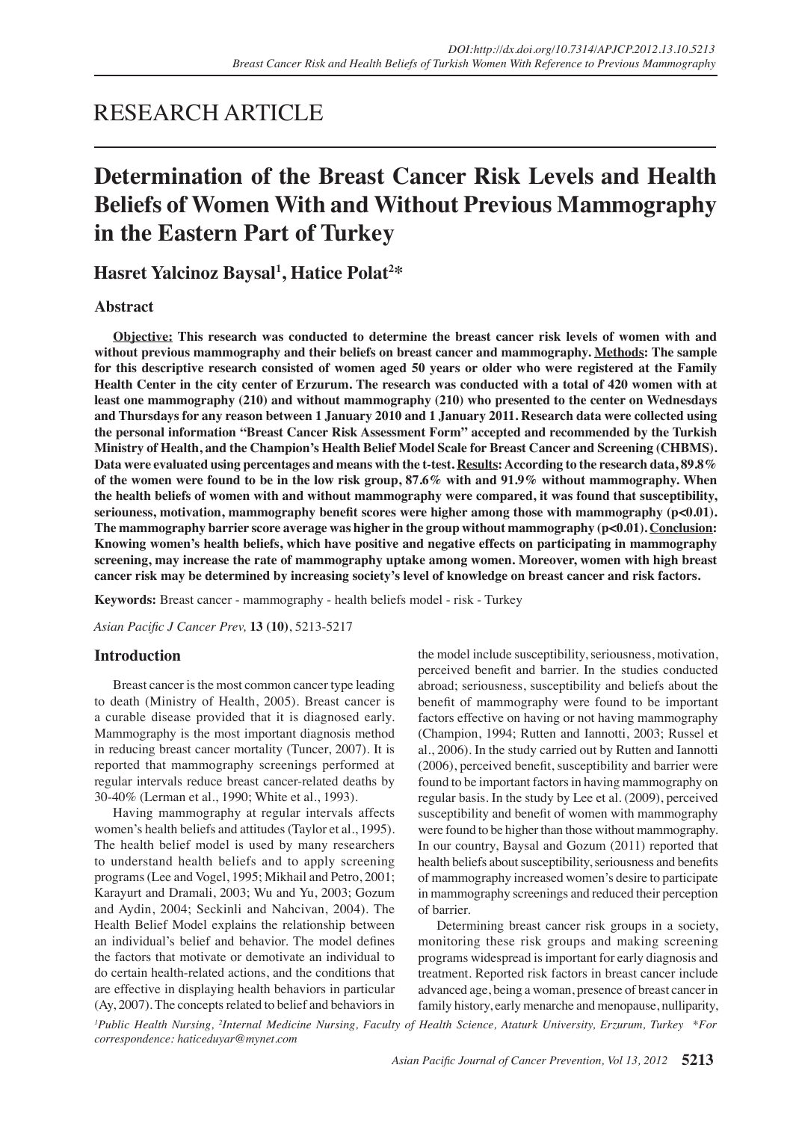## RESEARCH ARTICLE

# **Determination of the Breast Cancer Risk Levels and Health Beliefs of Women With and Without Previous Mammography in the Eastern Part of Turkey**

## **Hasret Yalcinoz Baysal1 , Hatice Polat2 \***

## **Abstract**

**Objective: This research was conducted to determine the breast cancer risk levels of women with and without previous mammography and their beliefs on breast cancer and mammography. Methods: The sample for this descriptive research consisted of women aged 50 years or older who were registered at the Family Health Center in the city center of Erzurum. The research was conducted with a total of 420 women with at least one mammography (210) and without mammography (210) who presented to the center on Wednesdays and Thursdays for any reason between 1 January 2010 and 1 January 2011. Research data were collected using the personal information "Breast Cancer Risk Assessment Form" accepted and recommended by the Turkish Ministry of Health, and the Champion's Health Belief Model Scale for Breast Cancer and Screening (CHBMS). Data were evaluated using percentages and means with the t-test. Results: According to the research data, 89.8% of the women were found to be in the low risk group, 87.6% with and 91.9% without mammography. When the health beliefs of women with and without mammography were compared, it was found that susceptibility,**  seriouness, motivation, mammography benefit scores were higher among those with mammography (p<0.01). **The mammography barrier score average was higher in the group without mammography (p<0.01). Conclusion: Knowing women's health beliefs, which have positive and negative effects on participating in mammography screening, may increase the rate of mammography uptake among women. Moreover, women with high breast cancer risk may be determined by increasing society's level of knowledge on breast cancer and risk factors.**

**Keywords:** Breast cancer - mammography - health beliefs model - risk - Turkey

*Asian Pacific J Cancer Prev,* **13 (10)**, 5213-5217

## **Introduction**

Breast cancer is the most common cancer type leading to death (Ministry of Health, 2005). Breast cancer is a curable disease provided that it is diagnosed early. Mammography is the most important diagnosis method in reducing breast cancer mortality (Tuncer, 2007). It is reported that mammography screenings performed at regular intervals reduce breast cancer-related deaths by 30-40% (Lerman et al., 1990; White et al., 1993).

Having mammography at regular intervals affects women's health beliefs and attitudes (Taylor et al., 1995). The health belief model is used by many researchers to understand health beliefs and to apply screening programs (Lee and Vogel, 1995; Mikhail and Petro, 2001; Karayurt and Dramali, 2003; Wu and Yu, 2003; Gozum and Aydin, 2004; Seckinli and Nahcivan, 2004). The Health Belief Model explains the relationship between an individual's belief and behavior. The model defines the factors that motivate or demotivate an individual to do certain health-related actions, and the conditions that are effective in displaying health behaviors in particular (Ay, 2007). The concepts related to belief and behaviors in the model include susceptibility, seriousness, motivation, perceived benefit and barrier. In the studies conducted abroad; seriousness, susceptibility and beliefs about the benefit of mammography were found to be important factors effective on having or not having mammography (Champion, 1994; Rutten and Iannotti, 2003; Russel et al., 2006). In the study carried out by Rutten and Iannotti (2006), perceived benefit, susceptibility and barrier were found to be important factors in having mammography on regular basis. In the study by Lee et al. (2009), perceived susceptibility and benefit of women with mammography were found to be higher than those without mammography. In our country, Baysal and Gozum (2011) reported that health beliefs about susceptibility, seriousness and benefits of mammography increased women's desire to participate in mammography screenings and reduced their perception of barrier.

Determining breast cancer risk groups in a society, monitoring these risk groups and making screening programs widespread is important for early diagnosis and treatment. Reported risk factors in breast cancer include advanced age, being a woman, presence of breast cancer in family history, early menarche and menopause, nulliparity,

<sup>1</sup> Public Health Nursing, <sup>2</sup>Internal Medicine Nursing, Faculty of Health Science, Ataturk University, Erzurum, Turkey \*For *correspondence: haticeduyar@mynet.com*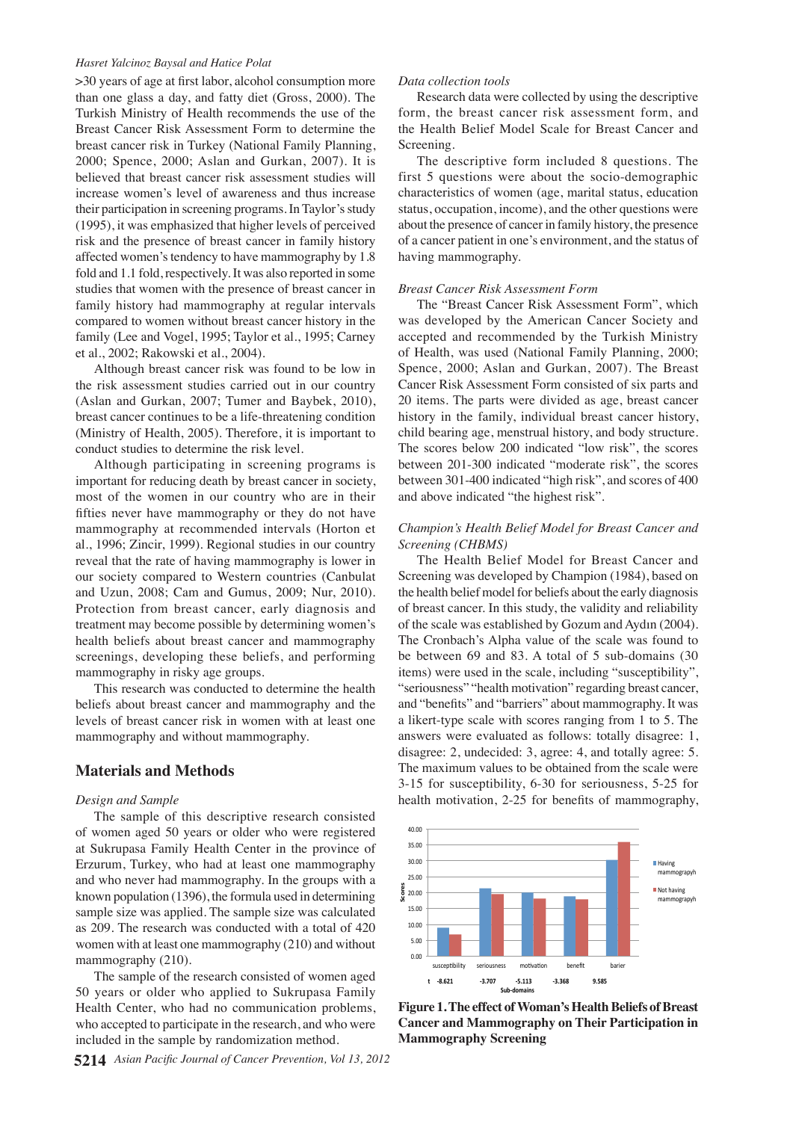#### *Hasret Yalcinoz Baysal and Hatice Polat*

>30 years of age at first labor, alcohol consumption more than one glass a day, and fatty diet (Gross, 2000). The Turkish Ministry of Health recommends the use of the Breast Cancer Risk Assessment Form to determine the breast cancer risk in Turkey (National Family Planning, 2000; Spence, 2000; Aslan and Gurkan, 2007). It is believed that breast cancer risk assessment studies will increase women's level of awareness and thus increase their participation in screening programs. In Taylor's study (1995), it was emphasized that higher levels of perceived risk and the presence of breast cancer in family history affected women's tendency to have mammography by 1.8 fold and 1.1 fold, respectively. It was also reported in some studies that women with the presence of breast cancer in family history had mammography at regular intervals compared to women without breast cancer history in the family (Lee and Vogel, 1995; Taylor et al., 1995; Carney et al., 2002; Rakowski et al., 2004).

Although breast cancer risk was found to be low in the risk assessment studies carried out in our country (Aslan and Gurkan, 2007; Tumer and Baybek, 2010), breast cancer continues to be a life-threatening condition (Ministry of Health, 2005). Therefore, it is important to conduct studies to determine the risk level.

Although participating in screening programs is important for reducing death by breast cancer in society, most of the women in our country who are in their fifties never have mammography or they do not have mammography at recommended intervals (Horton et al., 1996; Zincir, 1999). Regional studies in our country reveal that the rate of having mammography is lower in our society compared to Western countries (Canbulat and Uzun, 2008; Cam and Gumus, 2009; Nur, 2010). Protection from breast cancer, early diagnosis and treatment may become possible by determining women's health beliefs about breast cancer and mammography screenings, developing these beliefs, and performing mammography in risky age groups.

This research was conducted to determine the health beliefs about breast cancer and mammography and the levels of breast cancer risk in women with at least one mammography and without mammography.

### **Materials and Methods**

#### *Design and Sample*

The sample of this descriptive research consisted of women aged 50 years or older who were registered at Sukrupasa Family Health Center in the province of Erzurum, Turkey, who had at least one mammography and who never had mammography. In the groups with a known population (1396), the formula used in determining sample size was applied. The sample size was calculated as 209. The research was conducted with a total of 420 women with at least one mammography (210) and without mammography (210).

The sample of the research consisted of women aged 50 years or older who applied to Sukrupasa Family Health Center, who had no communication problems, who accepted to participate in the research, and who were included in the sample by randomization method.

#### *Data collection tools*

Research data were collected by using the descriptive form, the breast cancer risk assessment form, and the Health Belief Model Scale for Breast Cancer and Screening.

The descriptive form included 8 questions. The first 5 questions were about the socio-demographic characteristics of women (age, marital status, education status, occupation, income), and the other questions were about the presence of cancer in family history, the presence of a cancer patient in one's environment, and the status of having mammography.

#### *Breast Cancer Risk Assessment Form*

The "Breast Cancer Risk Assessment Form", which was developed by the American Cancer Society and accepted and recommended by the Turkish Ministry of Health, was used (National Family Planning, 2000; Spence, 2000; Aslan and Gurkan, 2007). The Breast Cancer Risk Assessment Form consisted of six parts and 20 items. The parts were divided as age, breast cancer history in the family, individual breast cancer history, child bearing age, menstrual history, and body structure. The scores below 200 indicated "low risk", the scores between 201-300 indicated "moderate risk", the scores between 301-400 indicated "high risk", and scores of 400 and above indicated "the highest risk".

#### *Champion's Health Belief Model for Breast Cancer and Screening (CHBMS)*

The Health Belief Model for Breast Cancer and Screening was developed by Champion (1984), based on the health belief model for beliefs about the early diagnosis of breast cancer. In this study, the validity and reliability of the scale was established by Gozum and Aydın (2004). The Cronbach's Alpha value of the scale was found to be between 69 and 83. A total of 5 sub-domains (30 items) were used in the scale, including "susceptibility", "seriousness" "health motivation" regarding breast cancer, and "benefits" and "barriers" about mammography. It was a likert-type scale with scores ranging from 1 to 5. The answers were evaluated as follows: totally disagree: 1, disagree: 2, undecided: 3, agree: 4, and totally agree: 5. The maximum values to be obtained from the scale were 3-15 for susceptibility, 6-30 for seriousness, 5-25 for health motivation, 2-25 for benefits of mammography,



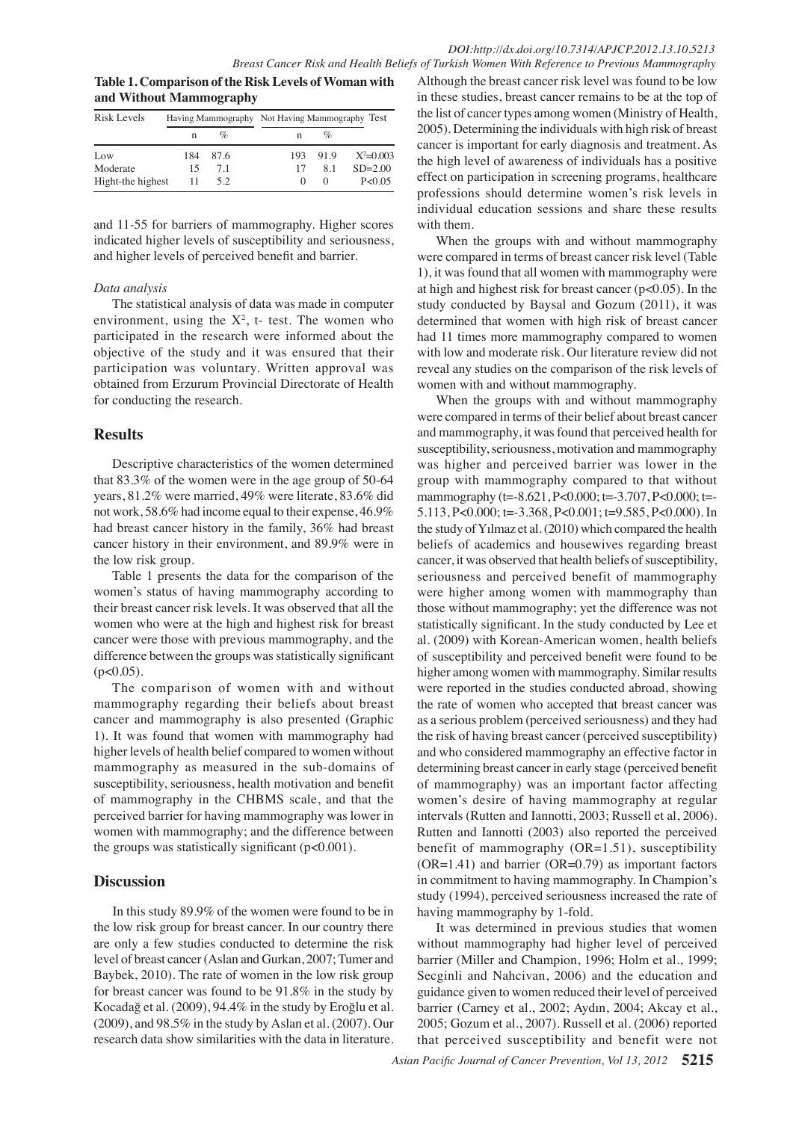**Table 1. Comparison of the Risk Levels of Woman with and Without Mammography**

| Risk Levels       |    |          | Having Mammography Not Having Mammography Test |        |             |
|-------------------|----|----------|------------------------------------------------|--------|-------------|
|                   |    | $\%$     |                                                | $\%$   |             |
| Low               |    | 184 87.6 | 193.                                           | - 91.9 | $X^2=0.003$ |
| Moderate          | 15 | 7.1      | 17                                             | 8.1    | $SD = 2.00$ |
| Hight-the highest | 11 | 5.2      |                                                | $\lq$  | P < 0.05    |

indicated higher levels of susceptibility and seriousness1,00.0 and 11-55 for barriers of mammography. Higher scores and higher levels of perceived benefit and barrier.

## *Data analysis*

environment, using the  $X^2$ , t- test. The women who participated in the research were informed about the participation was voluntary. Written approval was obtained from Erzurum Provincial Directorate of Health for conducting the research.

## **Results**

Descriptive characteristics of the women determined that 83.3% of the women were in the age group of 50-64 years, 81.2% were married, 49% were literate, 83.6% did not work, 58.6% had income equal to their expense, 46.9% had breast cancer history in the family, 36% had breast cancer history in their environment, and 89.9% were in the low risk group.

Table 1 presents the data for the comparison of the women's status of having mammography according to their breast cancer risk levels. It was observed that all the women who were at the high and highest risk for breast cancer were those with previous mammography, and the difference between the groups was statistically significant  $(p<0.05)$ .

The comparison of women with and without mammography regarding their beliefs about breast cancer and mammography is also presented (Graphic 1). It was found that women with mammography had higher levels of health belief compared to women without mammography as measured in the sub-domains of susceptibility, seriousness, health motivation and benefit of mammography in the CHBMS scale, and that the perceived barrier for having mammography was lower in women with mammography; and the difference between the groups was statistically significant  $(p<0.001)$ .

## **Discussion**

In this study 89.9% of the women were found to be in the low risk group for breast cancer. In our country there are only a few studies conducted to determine the risk level of breast cancer (Aslan and Gurkan, 2007; Tumer and Baybek, 2010). The rate of women in the low risk group for breast cancer was found to be 91.8% in the study by Kocadağ et al. (2009), 94.4% in the study by Eroğlu et al. (2009), and 98.5% in the study by Aslan et al. (2007). Our research data show similarities with the data in literature.

Although the breast cancer risk level was found to be low in these studies, breast cancer remains to be at the top of the list of cancer types among women (Ministry of Health, 2005). Determining the individuals with high risk of breast cancer is important for early diagnosis and treatment. As the high level of awareness of individuals has a positive effect on participation in screening programs, healthcare professions should determine women's risk levels in individual education sessions and share these results with them.

When the groups with  $\tau$  and without mammograph<sup>100.0</sup>

objective of the study and it was ensured that their 50.0 with low and moderate risk. **31.2** iterature review did not 50.0 75.0 **25.0 30.0** 75.0 The statistical analysis of data was made in computer were compared in terms of breast cancer risk level (Table<br>1) it was famed that all the **20.3** the demandments were determined that w**omen** with high risk of breast cancer 1), it was found that all women with mammography were at high and highest risk for <del>breast c</del>ancer (p<0.05). In the study conducted by Baysal and Gozum  $(2011)$ , it was had  $11$  times more mammography compared to women reveal any studies on the comparison of the risk levels of women with and without mammography.

None

Newly diagnosed without treatment

 $\theta$ 

**12.8**

**51.1 46.8 56.3**

**38.0 31.3**

**20.3 6.3 10.1**

Q<sub>was</sub> higher and perceived barrier was lower in the  $25.0$  Welge contract to the contract of the contract of the contract of the contract of the contract of the contract of the contract of the contract of the contract of the contract of the contract of the contract of the Newly diagnosed without treatment Newly diagnosed with treatment Persistence or reculeerde Remission **25.0 27.3**<br>
and mammography, it was found that perceived health for **20.0 21** were compared in **38.0** of their belief about breast cancer When the groups with and without mammography<sub>25.0</sub> susceptibility, seriousness, motivation and manumography group with mammagraphy compared  $\overline{\mathbf{b}}$  that without mammoggophy (t=-8.621, P<0.000; t=-3.747, P<0.000; t=-5.113, P< $\&$ 000; t=-3 $\&$ 68, P<0. $\&$ 01; t=9.5 $\&$ 5, P<0.000). In the study of Y<sub>1</sub>lmaz et al. (2010) which compared the health beliefs of academics and housewives regarding breast cancer, it  $\bar{\mathbb{X}}$  as observed that health beliefs of susceptibility, seriousness and perceived benefit of mammography were higher among women  $\hat{\mathbf{w}}$ ith mammography than those without mammogarephy; yet the difference was not statistically significant. In the study conducted by Lee et al.  $(2009)$  with Korean-American women, health beliefs of susceptibility and perceived benefit were found to be higher among women with mammography. Similar results were reported in the studies conducted abroad, showing the rate of women who accepted that breast cancer was as a serious problem (perceived seriousness) and they had the risk of having breast cancer (perceived susceptibility) and who considered mammography an effective factor in determining breast cancer in early stage (perceived benefit of mammography) was an important factor affecting women's desire of having mammography at regular intervals (Rutten and Iannotti, 2003; Russell et al, 2006). Rutten and Iannotti (2003) also reported the perceived benefit of mammography  $(OR=1.51)$ , susceptibility (OR=1.41) and barrier (OR=0.79) as important factors in commitment to having mammography. In Champion's study (1994), perceived seriousness increased the rate of having mammography by 1-fold.

It was determined in previous studies that women without mammography had higher level of perceived barrier (Miller and Champion, 1996; Holm et al., 1999; Secginli and Nahcivan, 2006) and the education and guidance given to women reduced their level of perceived barrier (Carney et al., 2002; Aydın, 2004; Akcay et al., 2005; Gozum et al., 2007). Russell et al. (2006) reported that perceived susceptibility and benefit were not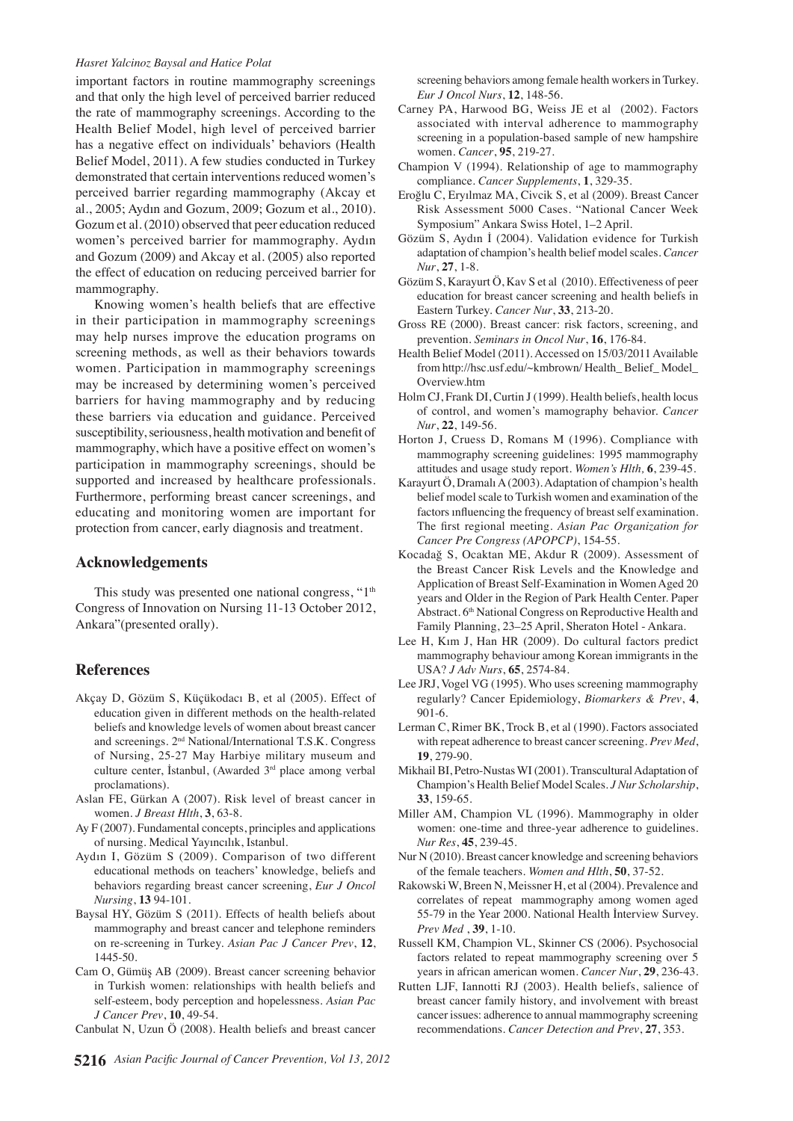#### *Hasret Yalcinoz Baysal and Hatice Polat*

important factors in routine mammography screenings and that only the high level of perceived barrier reduced the rate of mammography screenings. According to the Health Belief Model, high level of perceived barrier has a negative effect on individuals' behaviors (Health Belief Model, 2011). A few studies conducted in Turkey demonstrated that certain interventions reduced women's perceived barrier regarding mammography (Akcay et al., 2005; Aydın and Gozum, 2009; Gozum et al., 2010). Gozum et al. (2010) observed that peer education reduced women's perceived barrier for mammography. Aydın and Gozum (2009) and Akcay et al. (2005) also reported the effect of education on reducing perceived barrier for mammography.

Knowing women's health beliefs that are effective in their participation in mammography screenings may help nurses improve the education programs on screening methods, as well as their behaviors towards women. Participation in mammography screenings may be increased by determining women's perceived barriers for having mammography and by reducing these barriers via education and guidance. Perceived susceptibility, seriousness, health motivation and benefit of mammography, which have a positive effect on women's participation in mammography screenings, should be supported and increased by healthcare professionals. Furthermore, performing breast cancer screenings, and educating and monitoring women are important for protection from cancer, early diagnosis and treatment.

## **Acknowledgements**

This study was presented one national congress, " $1<sup>th</sup>$ Congress of Innovation on Nursing 11-13 October 2012, Ankara"(presented orally).

## **References**

- Akçay D, Gözüm S, Küçükodacı B, et al (2005). Effect of education given in different methods on the health-related beliefs and knowledge levels of women about breast cancer and screenings. 2nd National/International T.S.K. Congress of Nursing, 25-27 May Harbiye military museum and culture center, İstanbul, (Awarded 3<sup>rd</sup> place among verbal proclamations).
- Aslan FE, Gürkan A (2007). Risk level of breast cancer in women. *J Breast Hlth*, **3**, 63-8.
- Ay F (2007). Fundamental concepts, principles and applications of nursing. Medical Yayıncılık, Istanbul.
- Aydın I, Gözüm S (2009). Comparison of two different educational methods on teachers' knowledge, beliefs and behaviors regarding breast cancer screening, *Eur J Oncol Nursing*, **13** 94-101.
- Baysal HY, Gözüm S (2011). Effects of health beliefs about mammography and breast cancer and telephone reminders on re-screening in Turkey. *Asian Pac J Cancer Prev*, **12**, 1445-50.
- Cam O, Gümüş AB (2009). Breast cancer screening behavior in Turkish women: relationships with health beliefs and self-esteem, body perception and hopelessness. *Asian Pac J Cancer Prev*, **10**, 49-54.
- Canbulat N, Uzun Ö (2008). Health beliefs and breast cancer

screening behaviors among female health workers in Turkey. *Eur J Oncol Nurs*, **12**, 148-56.

- Carney PA, Harwood BG, Weiss JE et al (2002). Factors associated with interval adherence to mammography screening in a population-based sample of new hampshire women. *Cancer*, **95**, 219-27.
- Champion V (1994). Relationship of age to mammography compliance. *Cancer Supplements*, **1**, 329-35.
- Eroğlu C, Eryılmaz MA, Civcik S, et al (2009). Breast Cancer Risk Assessment 5000 Cases. "National Cancer Week Symposium" Ankara Swiss Hotel, 1–2 April.
- Gözüm S, Aydın İ (2004). Validation evidence for Turkish adaptation of champion's health belief model scales. *Cancer Nur*, **27**, 1-8.
- Gözüm S, Karayurt Ö, Kav S et al (2010). Effectiveness of peer education for breast cancer screening and health beliefs in Eastern Turkey. *Cancer Nur*, **33**, 213-20.
- Gross RE (2000). Breast cancer: risk factors, screening, and prevention. *Seminars in Oncol Nur*, **16**, 176-84.
- Health Belief Model (2011). Accessed on 15/03/2011 Available from http://hsc.usf.edu/~kmbrown/ Health\_ Belief\_ Model\_ Overview.htm
- Holm CJ, Frank DI, Curtin J (1999). Health beliefs, health locus of control, and women's mamography behavior. *Cancer Nur*, **22**, 149-56.
- Horton J, Cruess D, Romans M (1996). Compliance with mammography screening guidelines: 1995 mammography attitudes and usage study report. *Women's Hlth,* **6**, 239-45.
- Karayurt Ö, Dramalı A (2003). Adaptation of champion's health belief model scale to Turkish women and examination of the factors ınfluencing the frequency of breast self examination. The first regional meeting. *Asian Pac Organization for Cancer Pre Congress (APOPCP)*, 154-55.
- Kocadağ S, Ocaktan ME, Akdur R (2009). Assessment of the Breast Cancer Risk Levels and the Knowledge and Application of Breast Self-Examination in Women Aged 20 years and Older in the Region of Park Health Center. Paper Abstract. 6th National Congress on Reproductive Health and Family Planning, 23–25 April, Sheraton Hotel - Ankara.
- Lee H, Kım J, Han HR (2009). Do cultural factors predict mammography behaviour among Korean immigrants in the USA? *J Adv Nurs*, **65**, 2574-84.
- Lee JRJ, Vogel VG (1995). Who uses screening mammography regularly? Cancer Epidemiology, *Biomarkers & Prev*, **4**, 901-6.
- Lerman C, Rimer BK, Trock B, et al (1990). Factors associated with repeat adherence to breast cancer screening. *Prev Med*, **19**, 279-90.
- Mikhail BI, Petro-Nustas WI (2001). Transcultural Adaptation of Champion's Health Belief Model Scales. *J Nur Scholarship*, **33**, 159-65.
- Miller AM, Champion VL (1996). Mammography in older women: one-time and three-year adherence to guidelines. *Nur Res*, **45**, 239-45.
- Nur N (2010). Breast cancer knowledge and screening behaviors of the female teachers. *Women and Hlth*, **50**, 37-52.
- Rakowski W, Breen N, Meissner H, et al (2004). Prevalence and correlates of repeat mammography among women aged 55-79 in the Year 2000. National Health İnterview Survey. *Prev Med* , **39**, 1-10.
- Russell KM, Champion VL, Skinner CS (2006). Psychosocial factors related to repeat mammography screening over 5 years in african american women. *Cancer Nur*, **29**, 236-43.
- Rutten LJF, Iannotti RJ (2003). Health beliefs, salience of breast cancer family history, and involvement with breast cancer issues: adherence to annual mammography screening recommendations. *Cancer Detection and Prev*, **27**, 353.